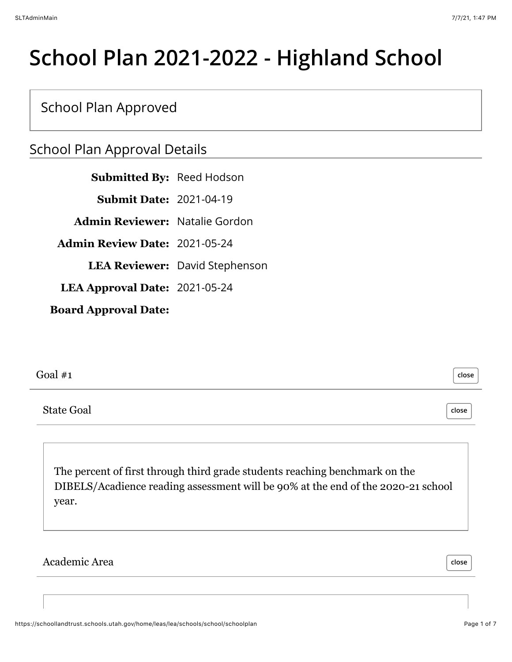# **School Plan 2021-2022 - Highland School**

## School Plan Approved

## School Plan Approval Details

**Submitted By:** Reed Hodson **Submit Date:** 2021-04-19 **Admin Reviewer:** Natalie Gordon **Admin Review Date:** 2021-05-24 **LEA Reviewer:** David Stephenson **LEA Approval Date:** 2021-05-24 **Board Approval Date:**

Goal #1

State Goal

The percent of first through third grade students reaching benchmark on the DIBELS/Acadience reading assessment will be 90% at the end of the 2020-21 school year.

Academic Area

**close**

**close**

**close**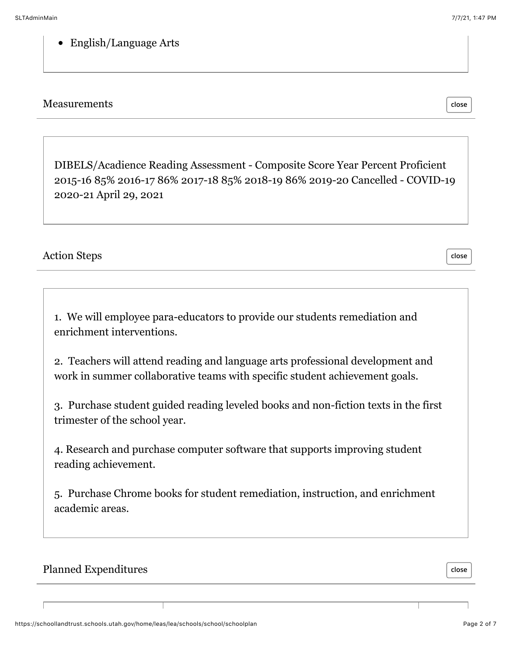#### English/Language Arts

#### **Measurements**

DIBELS/Acadience Reading Assessment - Composite Score Year Percent Proficient 2015-16 85% 2016-17 86% 2017-18 85% 2018-19 86% 2019-20 Cancelled - COVID-19 2020-21 April 29, 2021

#### Action Steps

1. We will employee para-educators to provide our students remediation and enrichment interventions.

2. Teachers will attend reading and language arts professional development and work in summer collaborative teams with specific student achievement goals.

3. Purchase student guided reading leveled books and non-fiction texts in the first trimester of the school year.

4. Research and purchase computer software that supports improving student reading achievement.

5. Purchase Chrome books for student remediation, instruction, and enrichment academic areas.

#### Planned Expenditures

**close**

**close**

**close**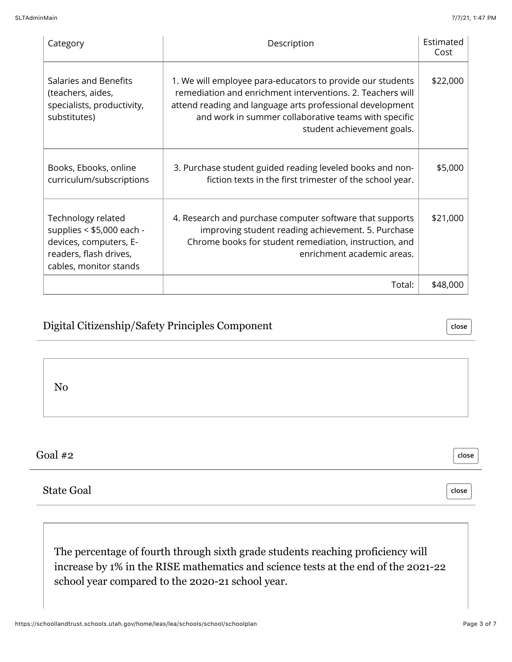| Category                                                                                                                        | Description                                                                                                                                                                                                                                                                 |          |
|---------------------------------------------------------------------------------------------------------------------------------|-----------------------------------------------------------------------------------------------------------------------------------------------------------------------------------------------------------------------------------------------------------------------------|----------|
| Salaries and Benefits<br>(teachers, aides,<br>specialists, productivity,<br>substitutes)                                        | 1. We will employee para-educators to provide our students<br>remediation and enrichment interventions, 2. Teachers will<br>attend reading and language arts professional development<br>and work in summer collaborative teams with specific<br>student achievement goals. | \$22,000 |
| Books, Ebooks, online<br>curriculum/subscriptions                                                                               | 3. Purchase student guided reading leveled books and non-<br>fiction texts in the first trimester of the school year.                                                                                                                                                       | \$5,000  |
| Technology related<br>supplies $<$ \$5,000 each -<br>devices, computers, E-<br>readers, flash drives,<br>cables, monitor stands | 4. Research and purchase computer software that supports<br>improving student reading achievement. 5. Purchase<br>Chrome books for student remediation, instruction, and<br>enrichment academic areas.                                                                      | \$21,000 |
|                                                                                                                                 | Total:                                                                                                                                                                                                                                                                      | \$48,000 |

#### Digital Citizenship/Safety Principles Component

**close**

**close**

**close**

No

Goal #2

State Goal

The percentage of fourth through sixth grade students reaching proficiency will increase by 1% in the RISE mathematics and science tests at the end of the 2021-22 school year compared to the 2020-21 school year.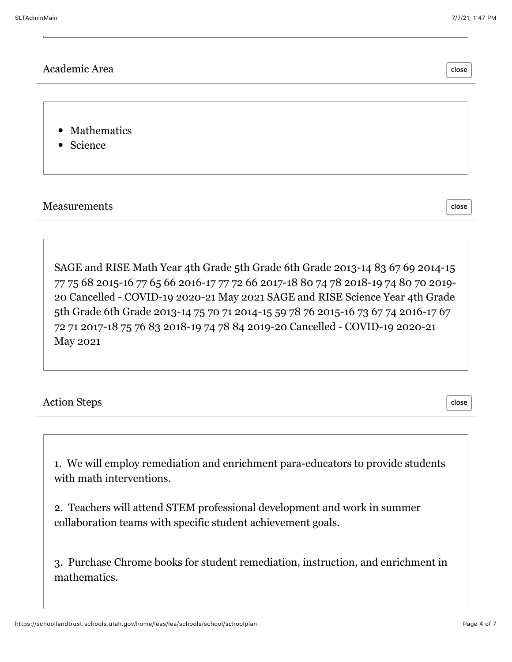**close**

#### Academic Area

• Mathematics

• Science

Measurements

**close**

SAGE and RISE Math Year 4th Grade 5th Grade 6th Grade 2013-14 83 67 69 2014-15 77 75 68 2015-16 77 65 66 2016-17 77 72 66 2017-18 80 74 78 2018-19 74 80 70 2019- 20 Cancelled - COVID-19 2020-21 May 2021 SAGE and RISE Science Year 4th Grade 5th Grade 6th Grade 2013-14 75 70 71 2014-15 59 78 76 2015-16 73 67 74 2016-17 67 72 71 2017-18 75 76 83 2018-19 74 78 84 2019-20 Cancelled - COVID-19 2020-21 May 2021

#### Action Steps

**close**

1. We will employ remediation and enrichment para-educators to provide students with math interventions.

2. Teachers will attend STEM professional development and work in summer collaboration teams with specific student achievement goals.

3. Purchase Chrome books for student remediation, instruction, and enrichment in mathematics.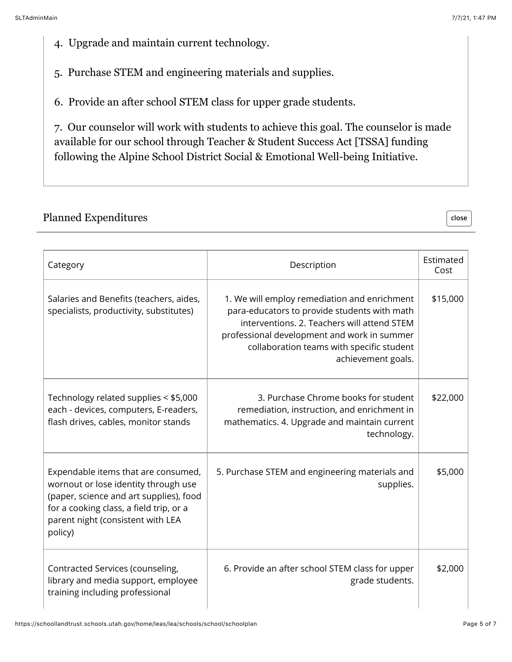**close**

- 4. Upgrade and maintain current technology.
- 5. Purchase STEM and engineering materials and supplies.
- 6. Provide an after school STEM class for upper grade students.

7. Our counselor will work with students to achieve this goal. The counselor is made available for our school through Teacher & Student Success Act [TSSA] funding following the Alpine School District Social & Emotional Well-being Initiative.

#### Planned Expenditures

| Category                                                                                                                                                                                                          | Description                                                                                                                                                                                                                                                   | Estimated<br>Cost |
|-------------------------------------------------------------------------------------------------------------------------------------------------------------------------------------------------------------------|---------------------------------------------------------------------------------------------------------------------------------------------------------------------------------------------------------------------------------------------------------------|-------------------|
| Salaries and Benefits (teachers, aides,<br>specialists, productivity, substitutes)                                                                                                                                | 1. We will employ remediation and enrichment<br>para-educators to provide students with math<br>interventions, 2. Teachers will attend STEM<br>professional development and work in summer<br>collaboration teams with specific student<br>achievement goals. | \$15,000          |
| Technology related supplies < \$5,000<br>each - devices, computers, E-readers,<br>flash drives, cables, monitor stands                                                                                            | 3. Purchase Chrome books for student<br>remediation, instruction, and enrichment in<br>mathematics. 4. Upgrade and maintain current<br>technology.                                                                                                            | \$22,000          |
| Expendable items that are consumed,<br>wornout or lose identity through use<br>(paper, science and art supplies), food<br>for a cooking class, a field trip, or a<br>parent night (consistent with LEA<br>policy) | 5. Purchase STEM and engineering materials and<br>supplies.                                                                                                                                                                                                   | \$5,000           |
| Contracted Services (counseling,<br>library and media support, employee<br>training including professional                                                                                                        | 6. Provide an after school STEM class for upper<br>grade students.                                                                                                                                                                                            | \$2,000           |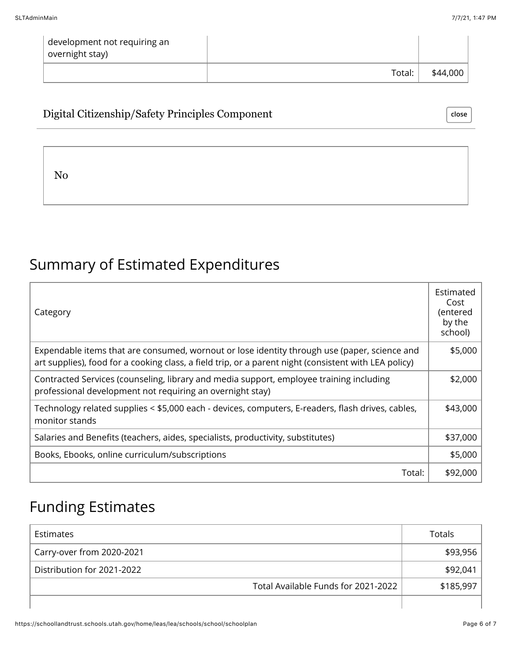| development not requiring an<br>overnight stay) |        |          |
|-------------------------------------------------|--------|----------|
|                                                 | Total: | \$44,000 |

#### Digital Citizenship/Safety Principles Component

No

## Summary of Estimated Expenditures

| Category                                                                                                                                                                                              | Estimated<br>Cost<br>(entered<br>by the<br>school) |
|-------------------------------------------------------------------------------------------------------------------------------------------------------------------------------------------------------|----------------------------------------------------|
| Expendable items that are consumed, wornout or lose identity through use (paper, science and<br>art supplies), food for a cooking class, a field trip, or a parent night (consistent with LEA policy) | \$5,000                                            |
| Contracted Services (counseling, library and media support, employee training including<br>professional development not requiring an overnight stay)                                                  | \$2,000                                            |
| Technology related supplies < \$5,000 each - devices, computers, E-readers, flash drives, cables,<br>monitor stands                                                                                   | \$43,000                                           |
| Salaries and Benefits (teachers, aides, specialists, productivity, substitutes)                                                                                                                       | \$37,000                                           |
| Books, Ebooks, online curriculum/subscriptions                                                                                                                                                        | \$5,000                                            |
| Total:                                                                                                                                                                                                | \$92,000                                           |

## Funding Estimates

| Estimates                           | Totals    |
|-------------------------------------|-----------|
| Carry-over from 2020-2021           | \$93,956  |
| Distribution for 2021-2022          | \$92,041  |
| Total Available Funds for 2021-2022 | \$185,997 |
|                                     |           |

**close**